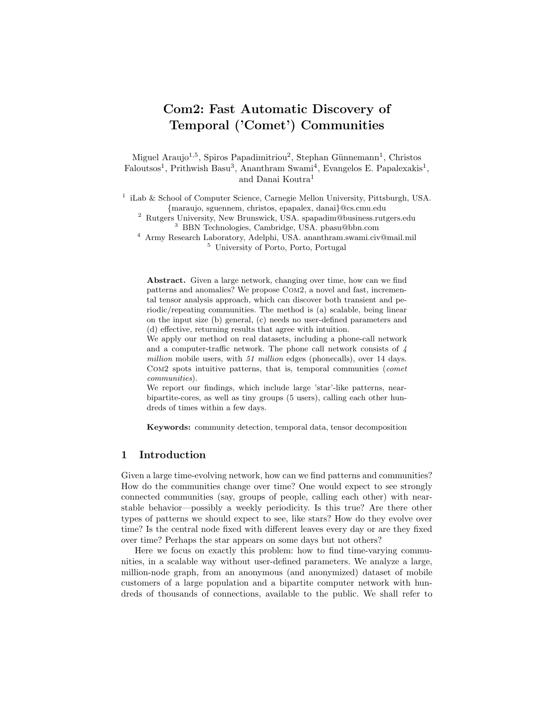# Com2: Fast Automatic Discovery of Temporal ('Comet') Communities

Miguel Araujo<sup>1,5</sup>, Spiros Papadimitriou<sup>2</sup>, Stephan Günnemann<sup>1</sup>, Christos Faloutsos<sup>1</sup>, Prithwish Basu<sup>3</sup>, Ananthram Swami<sup>4</sup>, Evangelos E. Papalexakis<sup>1</sup>, and Danai Koutra<sup>1</sup>

<sup>1</sup> iLab & School of Computer Science, Carnegie Mellon University, Pittsburgh, USA. {maraujo, sguennem, christos, epapalex, danai}@cs.cmu.edu

<sup>2</sup> Rutgers University, New Brunswick, USA. spapadim@business.rutgers.edu <sup>3</sup> BBN Technologies, Cambridge, USA. pbasu@bbn.com

<sup>4</sup> Army Research Laboratory, Adelphi, USA. ananthram.swami.civ@mail.mil <sup>5</sup> University of Porto, Porto, Portugal

Abstract. Given a large network, changing over time, how can we find patterns and anomalies? We propose Com2, a novel and fast, incremental tensor analysis approach, which can discover both transient and periodic/repeating communities. The method is (a) scalable, being linear on the input size (b) general, (c) needs no user-defined parameters and (d) effective, returning results that agree with intuition.

We apply our method on real datasets, including a phone-call network and a computer-traffic network. The phone call network consists of 4 million mobile users, with 51 million edges (phonecalls), over 14 days. Com2 spots intuitive patterns, that is, temporal communities (comet communities).

We report our findings, which include large 'star'-like patterns, nearbipartite-cores, as well as tiny groups (5 users), calling each other hundreds of times within a few days.

Keywords: community detection, temporal data, tensor decomposition

# 1 Introduction

Given a large time-evolving network, how can we find patterns and communities? How do the communities change over time? One would expect to see strongly connected communities (say, groups of people, calling each other) with nearstable behavior—possibly a weekly periodicity. Is this true? Are there other types of patterns we should expect to see, like stars? How do they evolve over time? Is the central node fixed with different leaves every day or are they fixed over time? Perhaps the star appears on some days but not others?

Here we focus on exactly this problem: how to find time-varying communities, in a scalable way without user-defined parameters. We analyze a large, million-node graph, from an anonymous (and anonymized) dataset of mobile customers of a large population and a bipartite computer network with hundreds of thousands of connections, available to the public. We shall refer to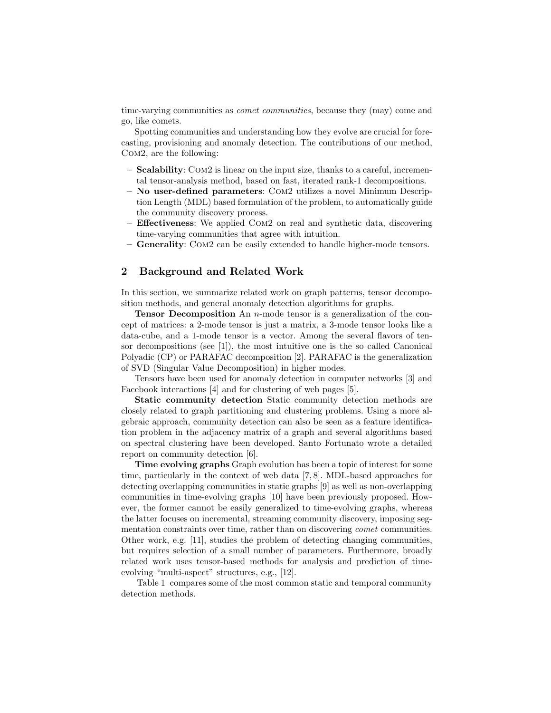time-varying communities as *comet communities*, because they (may) come and go, like comets.

Spotting communities and understanding how they evolve are crucial for forecasting, provisioning and anomaly detection. The contributions of our method, Com2, are the following:

- Scalability: Com2 is linear on the input size, thanks to a careful, incremental tensor-analysis method, based on fast, iterated rank-1 decompositions.
- No user-defined parameters: Com2 utilizes a novel Minimum Description Length (MDL) based formulation of the problem, to automatically guide the community discovery process.
- Effectiveness: We applied Com2 on real and synthetic data, discovering time-varying communities that agree with intuition.
- Generality: Com2 can be easily extended to handle higher-mode tensors.

# 2 Background and Related Work

In this section, we summarize related work on graph patterns, tensor decomposition methods, and general anomaly detection algorithms for graphs.

Tensor Decomposition An n-mode tensor is a generalization of the concept of matrices: a 2-mode tensor is just a matrix, a 3-mode tensor looks like a data-cube, and a 1-mode tensor is a vector. Among the several flavors of tensor decompositions (see [1]), the most intuitive one is the so called Canonical Polyadic (CP) or PARAFAC decomposition [2]. PARAFAC is the generalization of SVD (Singular Value Decomposition) in higher modes.

Tensors have been used for anomaly detection in computer networks [3] and Facebook interactions [4] and for clustering of web pages [5].

Static community detection Static community detection methods are closely related to graph partitioning and clustering problems. Using a more algebraic approach, community detection can also be seen as a feature identification problem in the adjacency matrix of a graph and several algorithms based on spectral clustering have been developed. Santo Fortunato wrote a detailed report on community detection [6].

Time evolving graphs Graph evolution has been a topic of interest for some time, particularly in the context of web data [7, 8]. MDL-based approaches for detecting overlapping communities in static graphs [9] as well as non-overlapping communities in time-evolving graphs [10] have been previously proposed. However, the former cannot be easily generalized to time-evolving graphs, whereas the latter focuses on incremental, streaming community discovery, imposing segmentation constraints over time, rather than on discovering comet communities. Other work, e.g. [11], studies the problem of detecting changing communities, but requires selection of a small number of parameters. Furthermore, broadly related work uses tensor-based methods for analysis and prediction of timeevolving "multi-aspect" structures, e.g., [12].

Table 1 compares some of the most common static and temporal community detection methods.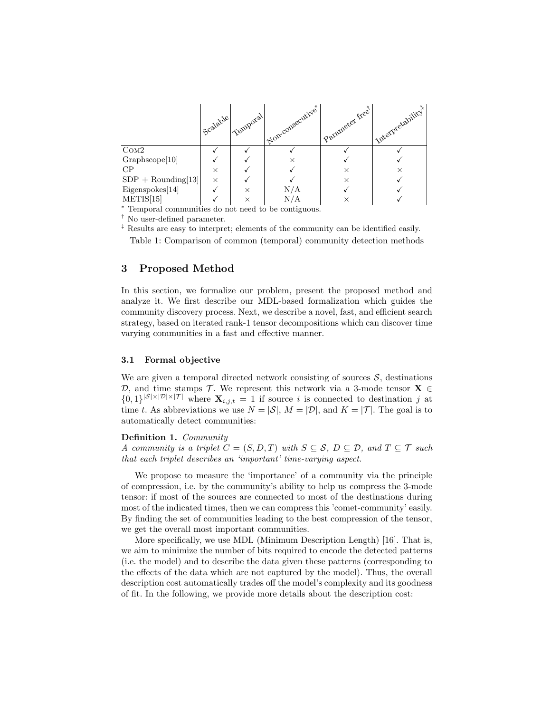

<sup>∗</sup> Temporal communities do not need to be contiguous.

† No user-defined parameter.

‡ Results are easy to interpret; elements of the community can be identified easily. Table 1: Comparison of common (temporal) community detection methods

# 3 Proposed Method

In this section, we formalize our problem, present the proposed method and analyze it. We first describe our MDL-based formalization which guides the community discovery process. Next, we describe a novel, fast, and efficient search strategy, based on iterated rank-1 tensor decompositions which can discover time varying communities in a fast and effective manner.

## 3.1 Formal objective

We are given a temporal directed network consisting of sources  $S$ , destinations D, and time stamps T. We represent this network via a 3-mode tensor  $X \in$  $\{0,1\}^{|\mathcal{S}|\times|\mathcal{D}|\times|\mathcal{T}|}$  where  $\mathbf{X}_{i,j,t} = 1$  if source i is connected to destination j at time t. As abbreviations we use  $N = |\mathcal{S}|$ ,  $M = |\mathcal{D}|$ , and  $K = |\mathcal{T}|$ . The goal is to automatically detect communities:

#### Definition 1. Community

A community is a triplet  $C = (S, D, T)$  with  $S \subseteq S$ ,  $D \subseteq D$ , and  $T \subseteq T$  such that each triplet describes an 'important' time-varying aspect.

We propose to measure the 'importance' of a community via the principle of compression, i.e. by the community's ability to help us compress the 3-mode tensor: if most of the sources are connected to most of the destinations during most of the indicated times, then we can compress this 'comet-community' easily. By finding the set of communities leading to the best compression of the tensor, we get the overall most important communities.

More specifically, we use MDL (Minimum Description Length) [16]. That is, we aim to minimize the number of bits required to encode the detected patterns (i.e. the model) and to describe the data given these patterns (corresponding to the effects of the data which are not captured by the model). Thus, the overall description cost automatically trades off the model's complexity and its goodness of fit. In the following, we provide more details about the description cost: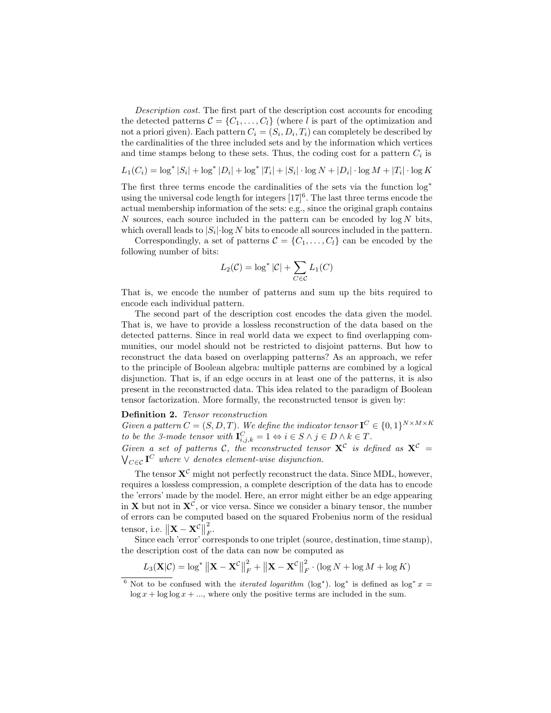Description cost. The first part of the description cost accounts for encoding the detected patterns  $\mathcal{C} = \{C_1, \ldots, C_l\}$  (where l is part of the optimization and not a priori given). Each pattern  $C_i = (S_i, D_i, T_i)$  can completely be described by the cardinalities of the three included sets and by the information which vertices and time stamps belong to these sets. Thus, the coding cost for a pattern  $C_i$  is

$$
L_1(C_i) = \log^* |S_i| + \log^* |D_i| + \log^* |T_i| + |S_i| \cdot \log N + |D_i| \cdot \log M + |T_i| \cdot \log K
$$

The first three terms encode the cardinalities of the sets via the function log<sup>∗</sup> using the universal code length for integers  $[17]^{6}$ . The last three terms encode the actual membership information of the sets: e.g., since the original graph contains N sources, each source included in the pattern can be encoded by  $\log N$  bits, which overall leads to  $|S_i|$ ·log N bits to encode all sources included in the pattern.

Correspondingly, a set of patterns  $C = \{C_1, \ldots, C_l\}$  can be encoded by the following number of bits:

$$
L_2(\mathcal{C}) = \log^* |\mathcal{C}| + \sum_{C \in \mathcal{C}} L_1(C)
$$

That is, we encode the number of patterns and sum up the bits required to encode each individual pattern.

The second part of the description cost encodes the data given the model. That is, we have to provide a lossless reconstruction of the data based on the detected patterns. Since in real world data we expect to find overlapping communities, our model should not be restricted to disjoint patterns. But how to reconstruct the data based on overlapping patterns? As an approach, we refer to the principle of Boolean algebra: multiple patterns are combined by a logical disjunction. That is, if an edge occurs in at least one of the patterns, it is also present in the reconstructed data. This idea related to the paradigm of Boolean tensor factorization. More formally, the reconstructed tensor is given by:

# Definition 2. Tensor reconstruction

Given a pattern  $C = (S, D, T)$ . We define the indicator tensor  $\mathbf{I}^C \in \{0, 1\}^{N \times M \times K}$ to be the 3-mode tensor with  $\mathbf{I}_{i,j,k}^C = 1 \Leftrightarrow i \in S \wedge j \in D \wedge k \in T$ . Given a set of patterns C, the reconstructed tensor  $X^C$  is defined as  $X^C =$  $\bigvee_{C\in\mathcal{C}}\mathbf{I}^C$  where  $\vee$  denotes element-wise disjunction.

The tensor  $X^{\mathcal{C}}$  might not perfectly reconstruct the data. Since MDL, however, requires a lossless compression, a complete description of the data has to encode the 'errors' made by the model. Here, an error might either be an edge appearing in **X** but not in  $X^C$ , or vice versa. Since we consider a binary tensor, the number of errors can be computed based on the squared Frobenius norm of the residual tensor, i.e.  $\|\mathbf{X} - \mathbf{X}^{\mathcal{C}}\|$ 2  $\frac{2}{F}$ .

Since each 'error' corresponds to one triplet (source, destination, time stamp), the description cost of the data can now be computed as

$$
L_3(\mathbf{X}|\mathcal{C}) = \log^* ||\mathbf{X} - \mathbf{X}^{\mathcal{C}}||_F^2 + ||\mathbf{X} - \mathbf{X}^{\mathcal{C}}||_F^2 \cdot (\log N + \log M + \log K)
$$

<sup>&</sup>lt;sup>6</sup> Not to be confused with the *iterated logarithm* (log<sup>\*</sup>). log<sup>\*</sup> is defined as log<sup>\*</sup> x =  $\log x + \log \log x + \dots$ , where only the positive terms are included in the sum.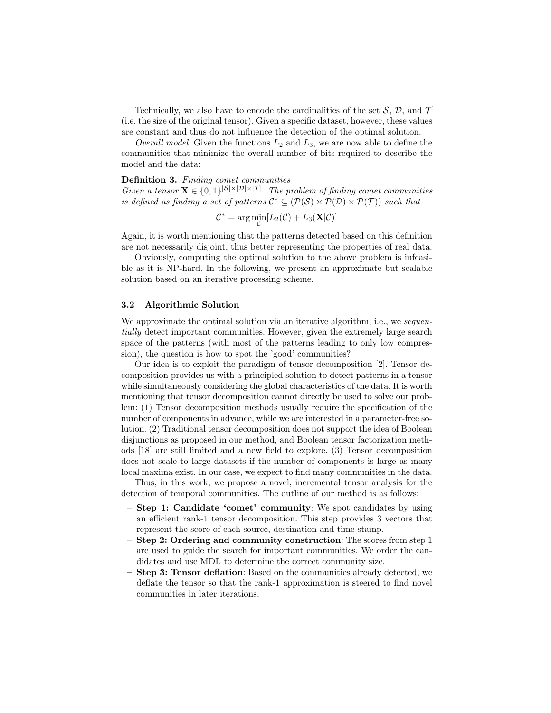Technically, we also have to encode the cardinalities of the set  $S$ ,  $D$ , and  $T$ (i.e. the size of the original tensor). Given a specific dataset, however, these values are constant and thus do not influence the detection of the optimal solution.

Overall model. Given the functions  $L_2$  and  $L_3$ , we are now able to define the communities that minimize the overall number of bits required to describe the model and the data:

#### Definition 3. Finding comet communities

Given a tensor  $\mathbf{X} \in \{0,1\}^{|\mathcal{S}| \times |\mathcal{D}| \times |\mathcal{T}|}$ . The problem of finding comet communities is defined as finding a set of patterns  $\mathcal{C}^* \subseteq (\mathcal{P}(\mathcal{S}) \times \mathcal{P}(\mathcal{D}) \times \mathcal{P}(\mathcal{T}))$  such that

$$
C^* = \arg\min_{\mathcal{C}} [L_2(\mathcal{C}) + L_3(\mathbf{X}|\mathcal{C})]
$$

Again, it is worth mentioning that the patterns detected based on this definition are not necessarily disjoint, thus better representing the properties of real data.

Obviously, computing the optimal solution to the above problem is infeasible as it is NP-hard. In the following, we present an approximate but scalable solution based on an iterative processing scheme.

#### 3.2 Algorithmic Solution

We approximate the optimal solution via an iterative algorithm, i.e., we sequentially detect important communities. However, given the extremely large search space of the patterns (with most of the patterns leading to only low compression), the question is how to spot the 'good' communities?

Our idea is to exploit the paradigm of tensor decomposition [2]. Tensor decomposition provides us with a principled solution to detect patterns in a tensor while simultaneously considering the global characteristics of the data. It is worth mentioning that tensor decomposition cannot directly be used to solve our problem: (1) Tensor decomposition methods usually require the specification of the number of components in advance, while we are interested in a parameter-free solution. (2) Traditional tensor decomposition does not support the idea of Boolean disjunctions as proposed in our method, and Boolean tensor factorization methods [18] are still limited and a new field to explore. (3) Tensor decomposition does not scale to large datasets if the number of components is large as many local maxima exist. In our case, we expect to find many communities in the data.

Thus, in this work, we propose a novel, incremental tensor analysis for the detection of temporal communities. The outline of our method is as follows:

- Step 1: Candidate 'comet' community: We spot candidates by using an efficient rank-1 tensor decomposition. This step provides 3 vectors that represent the score of each source, destination and time stamp.
- Step 2: Ordering and community construction: The scores from step 1 are used to guide the search for important communities. We order the candidates and use MDL to determine the correct community size.
- Step 3: Tensor deflation: Based on the communities already detected, we deflate the tensor so that the rank-1 approximation is steered to find novel communities in later iterations.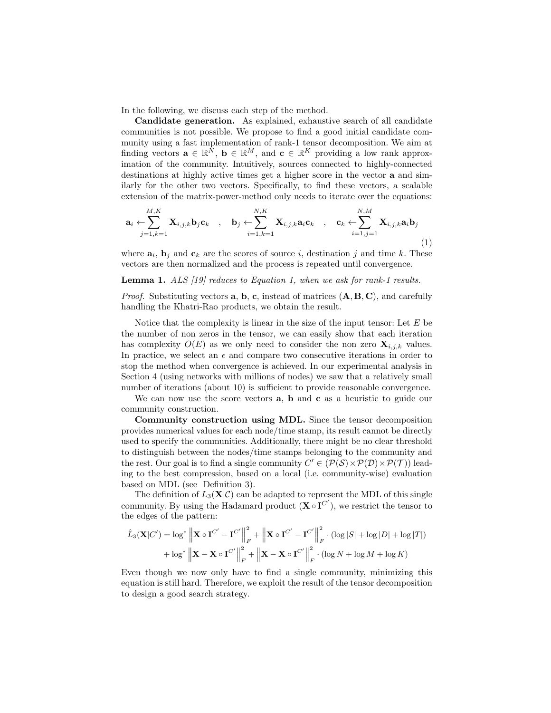In the following, we discuss each step of the method.

Candidate generation. As explained, exhaustive search of all candidate communities is not possible. We propose to find a good initial candidate community using a fast implementation of rank-1 tensor decomposition. We aim at finding vectors  $\mathbf{a} \in \mathbb{R}^N$ ,  $\mathbf{b} \in \mathbb{R}^M$ , and  $\mathbf{c} \in \mathbb{R}^K$  providing a low rank approximation of the community. Intuitively, sources connected to highly-connected destinations at highly active times get a higher score in the vector a and similarly for the other two vectors. Specifically, to find these vectors, a scalable extension of the matrix-power-method only needs to iterate over the equations:

$$
\mathbf{a}_{i} \leftarrow \sum_{j=1,k=1}^{M,K} \mathbf{X}_{i,j,k} \mathbf{b}_{j} \mathbf{c}_{k} , \quad \mathbf{b}_{j} \leftarrow \sum_{i=1,k=1}^{N,K} \mathbf{X}_{i,j,k} \mathbf{a}_{i} \mathbf{c}_{k} , \quad \mathbf{c}_{k} \leftarrow \sum_{i=1,j=1}^{N,M} \mathbf{X}_{i,j,k} \mathbf{a}_{i} \mathbf{b}_{j}
$$
(1)

where  $\mathbf{a}_i$ ,  $\mathbf{b}_j$  and  $\mathbf{c}_k$  are the scores of source i, destination j and time k. These vectors are then normalized and the process is repeated until convergence.

## Lemma 1. ALS [19] reduces to Equation 1, when we ask for rank-1 results.

*Proof.* Substituting vectors  $\bf{a}$ ,  $\bf{b}$ ,  $\bf{c}$ , instead of matrices  $(\bf{A}, \bf{B}, \bf{C})$ , and carefully handling the Khatri-Rao products, we obtain the result.

Notice that the complexity is linear in the size of the input tensor: Let  $E$  be the number of non zeros in the tensor, we can easily show that each iteration has complexity  $O(E)$  as we only need to consider the non zero  $\mathbf{X}_{i,j,k}$  values. In practice, we select an  $\epsilon$  and compare two consecutive iterations in order to stop the method when convergence is achieved. In our experimental analysis in Section 4 (using networks with millions of nodes) we saw that a relatively small number of iterations (about 10) is sufficient to provide reasonable convergence.

We can now use the score vectors **a**, **b** and **c** as a heuristic to guide our community construction.

Community construction using MDL. Since the tensor decomposition provides numerical values for each node/time stamp, its result cannot be directly used to specify the communities. Additionally, there might be no clear threshold to distinguish between the nodes/time stamps belonging to the community and the rest. Our goal is to find a single community  $C' \in (\mathcal{P}(\mathcal{S}) \times \mathcal{P}(\mathcal{D}) \times \mathcal{P}(\mathcal{T}))$  leading to the best compression, based on a local (i.e. community-wise) evaluation based on MDL (see Definition 3).

The definition of  $L_3(\mathbf{X}|\mathcal{C})$  can be adapted to represent the MDL of this single community. By using the Hadamard product  $(\mathbf{X} \circ \mathbf{I}^{C'})$ , we restrict the tensor to the edges of the pattern:

$$
\hat{L}_3(\mathbf{X}|C') = \log^* \left\| \mathbf{X} \circ \mathbf{I}^{C'} - \mathbf{I}^{C'} \right\|_F^2 + \left\| \mathbf{X} \circ \mathbf{I}^{C'} - \mathbf{I}^{C'} \right\|_F^2 \cdot (\log |S| + \log |D| + \log |T|)
$$
  
+ 
$$
\log^* \left\| \mathbf{X} - \mathbf{X} \circ \mathbf{I}^{C'} \right\|_F^2 + \left\| \mathbf{X} - \mathbf{X} \circ \mathbf{I}^{C'} \right\|_F^2 \cdot (\log N + \log M + \log K)
$$

Even though we now only have to find a single community, minimizing this equation is still hard. Therefore, we exploit the result of the tensor decomposition to design a good search strategy.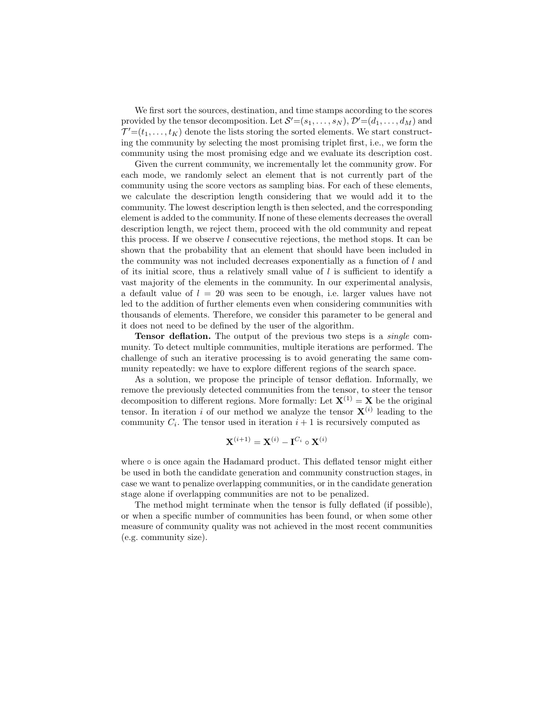We first sort the sources, destination, and time stamps according to the scores provided by the tensor decomposition. Let  $S = (s_1, \ldots, s_N)$ ,  $\mathcal{D}' = (d_1, \ldots, d_M)$  and  $\mathcal{T}' = (t_1, \ldots, t_K)$  denote the lists storing the sorted elements. We start constructing the community by selecting the most promising triplet first, i.e., we form the community using the most promising edge and we evaluate its description cost.

Given the current community, we incrementally let the community grow. For each mode, we randomly select an element that is not currently part of the community using the score vectors as sampling bias. For each of these elements, we calculate the description length considering that we would add it to the community. The lowest description length is then selected, and the corresponding element is added to the community. If none of these elements decreases the overall description length, we reject them, proceed with the old community and repeat this process. If we observe l consecutive rejections, the method stops. It can be shown that the probability that an element that should have been included in the community was not included decreases exponentially as a function of l and of its initial score, thus a relatively small value of  $l$  is sufficient to identify a vast majority of the elements in the community. In our experimental analysis, a default value of  $l = 20$  was seen to be enough, i.e. larger values have not led to the addition of further elements even when considering communities with thousands of elements. Therefore, we consider this parameter to be general and it does not need to be defined by the user of the algorithm.

**Tensor deflation.** The output of the previous two steps is a *single* community. To detect multiple communities, multiple iterations are performed. The challenge of such an iterative processing is to avoid generating the same community repeatedly: we have to explore different regions of the search space.

As a solution, we propose the principle of tensor deflation. Informally, we remove the previously detected communities from the tensor, to steer the tensor decomposition to different regions. More formally: Let  $X^{(1)} = X$  be the original tensor. In iteration i of our method we analyze the tensor  $X^{(i)}$  leading to the community  $C_i$ . The tensor used in iteration  $i+1$  is recursively computed as

$$
\mathbf{X}^{(i+1)} = \mathbf{X}^{(i)} - \mathbf{I}^{C_i} \circ \mathbf{X}^{(i)}
$$

where ∘ is once again the Hadamard product. This deflated tensor might either be used in both the candidate generation and community construction stages, in case we want to penalize overlapping communities, or in the candidate generation stage alone if overlapping communities are not to be penalized.

The method might terminate when the tensor is fully deflated (if possible), or when a specific number of communities has been found, or when some other measure of community quality was not achieved in the most recent communities (e.g. community size).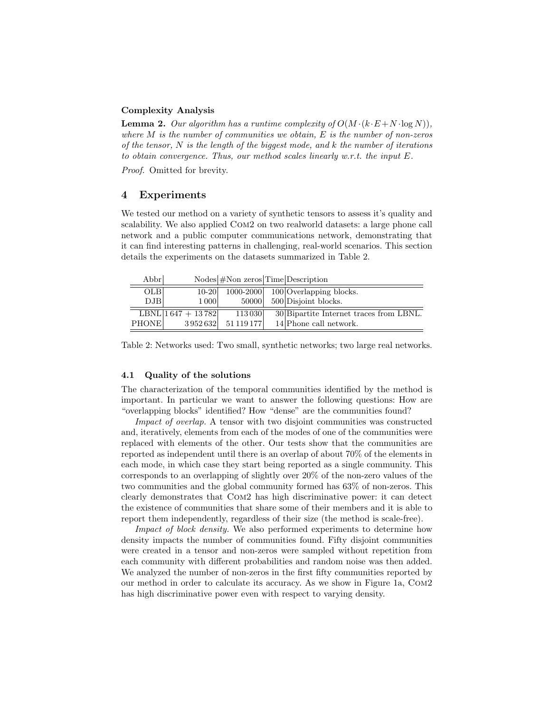#### Complexity Analysis

**Lemma 2.** Our algorithm has a runtime complexity of  $O(M \cdot (k \cdot E + N \cdot \log N))$ , where  $M$  is the number of communities we obtain,  $E$  is the number of non-zeros of the tensor,  $N$  is the length of the biggest mode, and  $k$  the number of iterations to obtain convergence. Thus, our method scales linearly w.r.t. the input E.

Proof. Omitted for brevity.

## 4 Experiments

We tested our method on a variety of synthetic tensors to assess it's quality and scalability. We also applied Com2 on two realworld datasets: a large phone call network and a public computer communications network, demonstrating that it can find interesting patterns in challenging, real-world scenarios. This section details the experiments on the datasets summarized in Table 2.

| Abbr         |                       | $\text{Nodes} \# \text{Non zeros} \text{Time} \text{Description}$ |                                             |
|--------------|-----------------------|-------------------------------------------------------------------|---------------------------------------------|
| <b>OLB</b>   | $10 - 20$             |                                                                   | $\boxed{1000-2000}$ 100 Overlapping blocks. |
| DJB          | 1 0 0 0               | 50000                                                             | $500$ Disjoint blocks.                      |
|              | LBNL $ 1647 + 13782 $ | 113 030                                                           | 30 Bipartite Internet traces from LBNL.     |
| <b>PHONE</b> | 3952632               | 51 119 177                                                        | 14 Phone call network.                      |

Table 2: Networks used: Two small, synthetic networks; two large real networks.

## 4.1 Quality of the solutions

The characterization of the temporal communities identified by the method is important. In particular we want to answer the following questions: How are "overlapping blocks" identified? How "dense" are the communities found?

Impact of overlap. A tensor with two disjoint communities was constructed and, iteratively, elements from each of the modes of one of the communities were replaced with elements of the other. Our tests show that the communities are reported as independent until there is an overlap of about 70% of the elements in each mode, in which case they start being reported as a single community. This corresponds to an overlapping of slightly over 20% of the non-zero values of the two communities and the global community formed has 63% of non-zeros. This clearly demonstrates that Com2 has high discriminative power: it can detect the existence of communities that share some of their members and it is able to report them independently, regardless of their size (the method is scale-free).

Impact of block density. We also performed experiments to determine how density impacts the number of communities found. Fifty disjoint communities were created in a tensor and non-zeros were sampled without repetition from each community with different probabilities and random noise was then added. We analyzed the number of non-zeros in the first fifty communities reported by our method in order to calculate its accuracy. As we show in Figure 1a, Com2 has high discriminative power even with respect to varying density.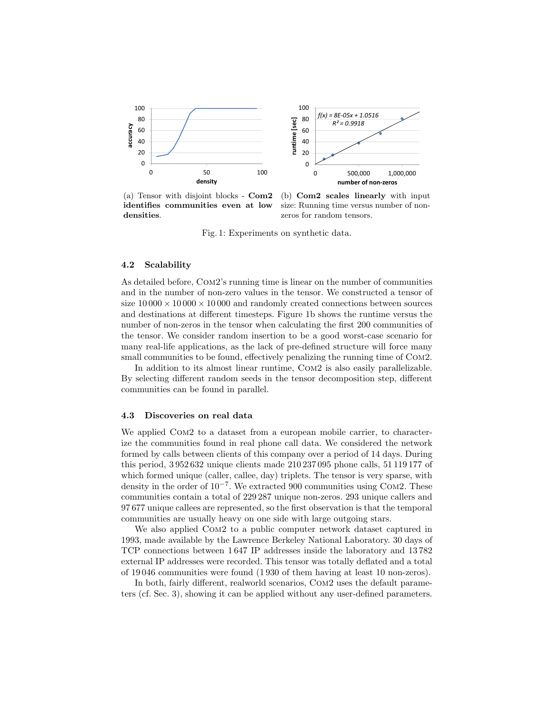

(a) Tensor with disjoint blocks - Com2 identifies communities even at low densities.

(b) Com2 scales linearly with input size: Running time versus number of nonzeros for random tensors.

Fig. 1: Experiments on synthetic data.

#### 4.2 Scalability

As detailed before, Com2's running time is linear on the number of communities and in the number of non-zero values in the tensor. We constructed a tensor of size  $10\,000 \times 10\,000 \times 10\,000$  and randomly created connections between sources and destinations at different timesteps. Figure 1b shows the runtime versus the number of non-zeros in the tensor when calculating the first 200 communities of the tensor. We consider random insertion to be a good worst-case scenario for many real-life applications, as the lack of pre-defined structure will force many small communities to be found, effectively penalizing the running time of COM2.

In addition to its almost linear runtime, Com2 is also easily parallelizable. By selecting different random seeds in the tensor decomposition step, different communities can be found in parallel.

## 4.3 Discoveries on real data

We applied COM2 to a dataset from a european mobile carrier, to characterize the communities found in real phone call data. We considered the network formed by calls between clients of this company over a period of 14 days. During this period, 3 952 632 unique clients made 210 237 095 phone calls, 51 119 177 of which formed unique (caller, callee, day) triplets. The tensor is very sparse, with density in the order of  $10^{-7}$ . We extracted 900 communities using COM2. These communities contain a total of 229 287 unique non-zeros. 293 unique callers and 97 677 unique callees are represented, so the first observation is that the temporal communities are usually heavy on one side with large outgoing stars.

We also applied Com2 to a public computer network dataset captured in 1993, made available by the Lawrence Berkeley National Laboratory. 30 days of TCP connections between 1 647 IP addresses inside the laboratory and 13 782 external IP addresses were recorded. This tensor was totally deflated and a total of 19 046 communities were found (1 930 of them having at least 10 non-zeros).

In both, fairly different, realworld scenarios, Com2 uses the default parameters (cf. Sec. 3), showing it can be applied without any user-defined parameters.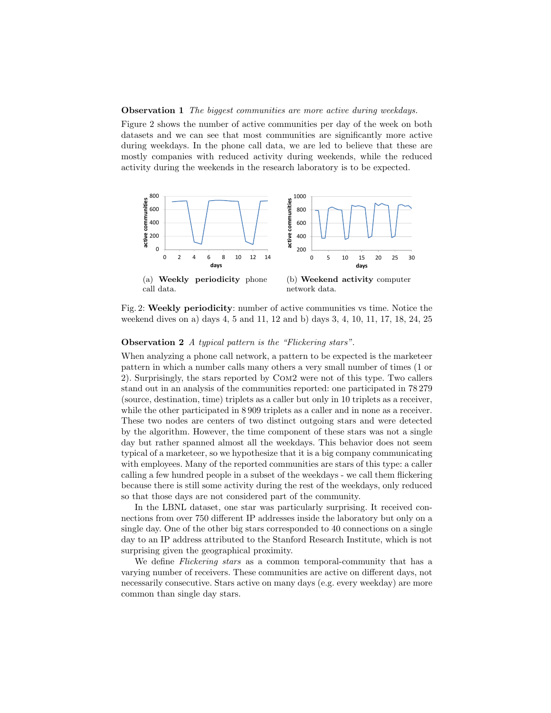**Observation 1** The biggest communities are more active during weekdays.

Figure 2 shows the number of active communities per day of the week on both datasets and we can see that most communities are significantly more active during weekdays. In the phone call data, we are led to believe that these are mostly companies with reduced activity during weekends, while the reduced activity during the weekends in the research laboratory is to be expected.



Fig. 2: Weekly periodicity: number of active communities vs time. Notice the weekend dives on a) days 4, 5 and 11, 12 and b) days 3, 4, 10, 11, 17, 18, 24, 25

## Observation 2 A typical pattern is the "Flickering stars".

When analyzing a phone call network, a pattern to be expected is the marketeer pattern in which a number calls many others a very small number of times (1 or 2). Surprisingly, the stars reported by Com2 were not of this type. Two callers stand out in an analysis of the communities reported: one participated in 78 279 (source, destination, time) triplets as a caller but only in 10 triplets as a receiver, while the other participated in 8 909 triplets as a caller and in none as a receiver. These two nodes are centers of two distinct outgoing stars and were detected by the algorithm. However, the time component of these stars was not a single day but rather spanned almost all the weekdays. This behavior does not seem typical of a marketeer, so we hypothesize that it is a big company communicating with employees. Many of the reported communities are stars of this type: a caller calling a few hundred people in a subset of the weekdays - we call them flickering because there is still some activity during the rest of the weekdays, only reduced so that those days are not considered part of the community.

In the LBNL dataset, one star was particularly surprising. It received connections from over 750 different IP addresses inside the laboratory but only on a single day. One of the other big stars corresponded to 40 connections on a single day to an IP address attributed to the Stanford Research Institute, which is not surprising given the geographical proximity.

We define *Flickering stars* as a common temporal-community that has a varying number of receivers. These communities are active on different days, not necessarily consecutive. Stars active on many days (e.g. every weekday) are more common than single day stars.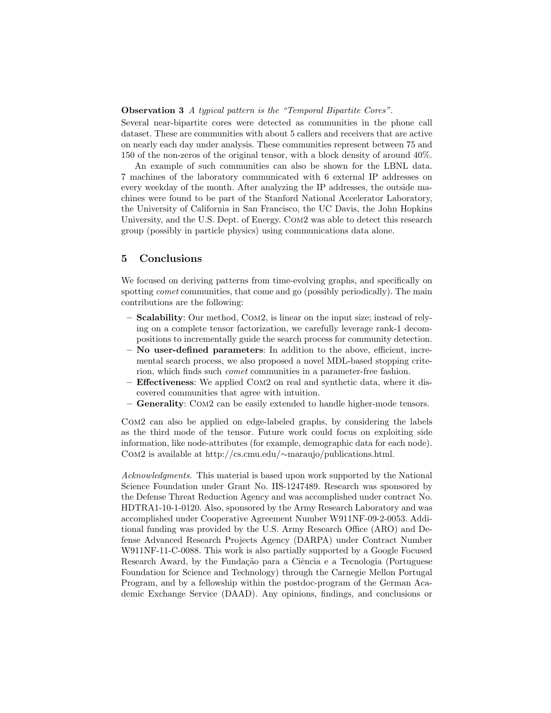## Observation 3 A typical pattern is the "Temporal Bipartite Cores".

Several near-bipartite cores were detected as communities in the phone call dataset. These are communities with about 5 callers and receivers that are active on nearly each day under analysis. These communities represent between 75 and 150 of the non-zeros of the original tensor, with a block density of around 40%.

An example of such communities can also be shown for the LBNL data. 7 machines of the laboratory communicated with 6 external IP addresses on every weekday of the month. After analyzing the IP addresses, the outside machines were found to be part of the Stanford National Accelerator Laboratory, the University of California in San Francisco, the UC Davis, the John Hopkins University, and the U.S. Dept. of Energy. Com2 was able to detect this research group (possibly in particle physics) using communications data alone.

# 5 Conclusions

We focused on deriving patterns from time-evolving graphs, and specifically on spotting *comet* communities, that come and go (possibly periodically). The main contributions are the following:

- Scalability: Our method, Com2, is linear on the input size; instead of relying on a complete tensor factorization, we carefully leverage rank-1 decompositions to incrementally guide the search process for community detection.
- No user-defined parameters: In addition to the above, efficient, incremental search process, we also proposed a novel MDL-based stopping criterion, which finds such comet communities in a parameter-free fashion.
- Effectiveness: We applied Com2 on real and synthetic data, where it discovered communities that agree with intuition.
- Generality: Com2 can be easily extended to handle higher-mode tensors.

Com2 can also be applied on edge-labeled graphs, by considering the labels as the third mode of the tensor. Future work could focus on exploiting side information, like node-attributes (for example, demographic data for each node). Com2 is available at http://cs.cmu.edu/∼maraujo/publications.html.

Acknowledgments. This material is based upon work supported by the National Science Foundation under Grant No. IIS-1247489. Research was sponsored by the Defense Threat Reduction Agency and was accomplished under contract No. HDTRA1-10-1-0120. Also, sponsored by the Army Research Laboratory and was accomplished under Cooperative Agreement Number W911NF-09-2-0053. Additional funding was provided by the U.S. Army Research Office (ARO) and Defense Advanced Research Projects Agency (DARPA) under Contract Number W911NF-11-C-0088. This work is also partially supported by a Google Focused Research Award, by the Fundação para a Ciência e a Tecnologia (Portuguese Foundation for Science and Technology) through the Carnegie Mellon Portugal Program, and by a fellowship within the postdoc-program of the German Academic Exchange Service (DAAD). Any opinions, findings, and conclusions or